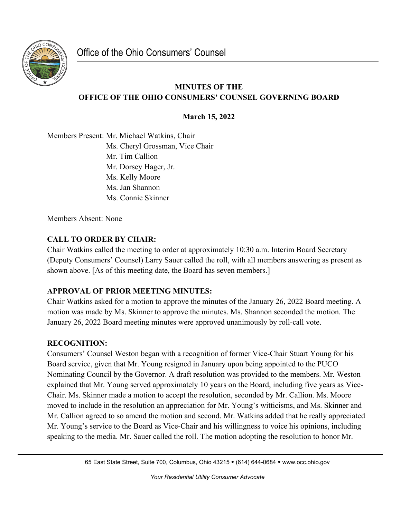

## **MINUTES OF THE OFFICE OF THE OHIO CONSUMERS' COUNSEL GOVERNING BOARD**

**March 15, 2022**

Members Present: Mr. Michael Watkins, Chair Ms. Cheryl Grossman, Vice Chair Mr. Tim Callion Mr. Dorsey Hager, Jr. Ms. Kelly Moore Ms. Jan Shannon Ms. Connie Skinner

Members Absent: None

# **CALL TO ORDER BY CHAIR:**

Chair Watkins called the meeting to order at approximately 10:30 a.m. Interim Board Secretary (Deputy Consumers' Counsel) Larry Sauer called the roll, with all members answering as present as shown above. [As of this meeting date, the Board has seven members.]

### **APPROVAL OF PRIOR MEETING MINUTES:**

Chair Watkins asked for a motion to approve the minutes of the January 26, 2022 Board meeting. A motion was made by Ms. Skinner to approve the minutes. Ms. Shannon seconded the motion. The January 26, 2022 Board meeting minutes were approved unanimously by roll-call vote.

### **RECOGNITION:**

Consumers' Counsel Weston began with a recognition of former Vice-Chair Stuart Young for his Board service, given that Mr. Young resigned in January upon being appointed to the PUCO Nominating Council by the Governor. A draft resolution was provided to the members. Mr. Weston explained that Mr. Young served approximately 10 years on the Board, including five years as Vice-Chair. Ms. Skinner made a motion to accept the resolution, seconded by Mr. Callion. Ms. Moore moved to include in the resolution an appreciation for Mr. Young's witticisms, and Ms. Skinner and Mr. Callion agreed to so amend the motion and second. Mr. Watkins added that he really appreciated Mr. Young's service to the Board as Vice-Chair and his willingness to voice his opinions, including speaking to the media. Mr. Sauer called the roll. The motion adopting the resolution to honor Mr.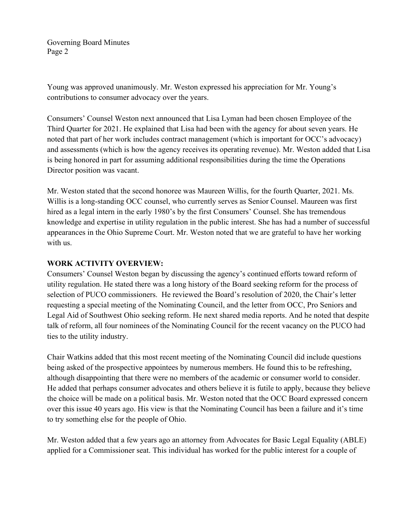Young was approved unanimously. Mr. Weston expressed his appreciation for Mr. Young's contributions to consumer advocacy over the years.

Consumers' Counsel Weston next announced that Lisa Lyman had been chosen Employee of the Third Quarter for 2021. He explained that Lisa had been with the agency for about seven years. He noted that part of her work includes contract management (which is important for OCC's advocacy) and assessments (which is how the agency receives its operating revenue). Mr. Weston added that Lisa is being honored in part for assuming additional responsibilities during the time the Operations Director position was vacant.

Mr. Weston stated that the second honoree was Maureen Willis, for the fourth Quarter, 2021. Ms. Willis is a long-standing OCC counsel, who currently serves as Senior Counsel. Maureen was first hired as a legal intern in the early 1980's by the first Consumers' Counsel. She has tremendous knowledge and expertise in utility regulation in the public interest. She has had a number of successful appearances in the Ohio Supreme Court. Mr. Weston noted that we are grateful to have her working with us.

#### **WORK ACTIVITY OVERVIEW:**

Consumers' Counsel Weston began by discussing the agency's continued efforts toward reform of utility regulation. He stated there was a long history of the Board seeking reform for the process of selection of PUCO commissioners. He reviewed the Board's resolution of 2020, the Chair's letter requesting a special meeting of the Nominating Council, and the letter from OCC, Pro Seniors and Legal Aid of Southwest Ohio seeking reform. He next shared media reports. And he noted that despite talk of reform, all four nominees of the Nominating Council for the recent vacancy on the PUCO had ties to the utility industry.

Chair Watkins added that this most recent meeting of the Nominating Council did include questions being asked of the prospective appointees by numerous members. He found this to be refreshing, although disappointing that there were no members of the academic or consumer world to consider. He added that perhaps consumer advocates and others believe it is futile to apply, because they believe the choice will be made on a political basis. Mr. Weston noted that the OCC Board expressed concern over this issue 40 years ago. His view is that the Nominating Council has been a failure and it's time to try something else for the people of Ohio.

Mr. Weston added that a few years ago an attorney from Advocates for Basic Legal Equality (ABLE) applied for a Commissioner seat. This individual has worked for the public interest for a couple of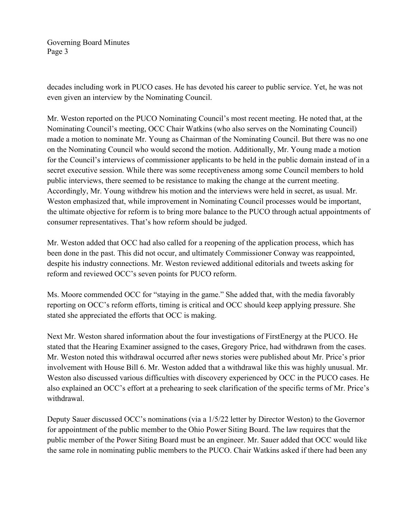decades including work in PUCO cases. He has devoted his career to public service. Yet, he was not even given an interview by the Nominating Council.

Mr. Weston reported on the PUCO Nominating Council's most recent meeting. He noted that, at the Nominating Council's meeting, OCC Chair Watkins (who also serves on the Nominating Council) made a motion to nominate Mr. Young as Chairman of the Nominating Council. But there was no one on the Nominating Council who would second the motion. Additionally, Mr. Young made a motion for the Council's interviews of commissioner applicants to be held in the public domain instead of in a secret executive session. While there was some receptiveness among some Council members to hold public interviews, there seemed to be resistance to making the change at the current meeting. Accordingly, Mr. Young withdrew his motion and the interviews were held in secret, as usual. Mr. Weston emphasized that, while improvement in Nominating Council processes would be important, the ultimate objective for reform is to bring more balance to the PUCO through actual appointments of consumer representatives. That's how reform should be judged.

Mr. Weston added that OCC had also called for a reopening of the application process, which has been done in the past. This did not occur, and ultimately Commissioner Conway was reappointed, despite his industry connections. Mr. Weston reviewed additional editorials and tweets asking for reform and reviewed OCC's seven points for PUCO reform.

Ms. Moore commended OCC for "staying in the game." She added that, with the media favorably reporting on OCC's reform efforts, timing is critical and OCC should keep applying pressure. She stated she appreciated the efforts that OCC is making.

Next Mr. Weston shared information about the four investigations of FirstEnergy at the PUCO. He stated that the Hearing Examiner assigned to the cases, Gregory Price, had withdrawn from the cases. Mr. Weston noted this withdrawal occurred after news stories were published about Mr. Price's prior involvement with House Bill 6. Mr. Weston added that a withdrawal like this was highly unusual. Mr. Weston also discussed various difficulties with discovery experienced by OCC in the PUCO cases. He also explained an OCC's effort at a prehearing to seek clarification of the specific terms of Mr. Price's withdrawal.

Deputy Sauer discussed OCC's nominations (via a 1/5/22 letter by Director Weston) to the Governor for appointment of the public member to the Ohio Power Siting Board. The law requires that the public member of the Power Siting Board must be an engineer. Mr. Sauer added that OCC would like the same role in nominating public members to the PUCO. Chair Watkins asked if there had been any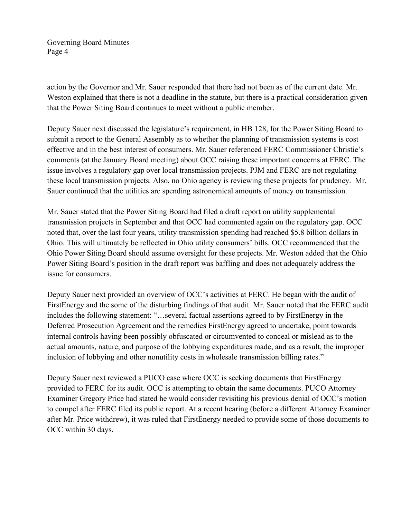action by the Governor and Mr. Sauer responded that there had not been as of the current date. Mr. Weston explained that there is not a deadline in the statute, but there is a practical consideration given that the Power Siting Board continues to meet without a public member.

Deputy Sauer next discussed the legislature's requirement, in HB 128, for the Power Siting Board to submit a report to the General Assembly as to whether the planning of transmission systems is cost effective and in the best interest of consumers. Mr. Sauer referenced FERC Commissioner Christie's comments (at the January Board meeting) about OCC raising these important concerns at FERC. The issue involves a regulatory gap over local transmission projects. PJM and FERC are not regulating these local transmission projects. Also, no Ohio agency is reviewing these projects for prudency. Mr. Sauer continued that the utilities are spending astronomical amounts of money on transmission.

Mr. Sauer stated that the Power Siting Board had filed a draft report on utility supplemental transmission projects in September and that OCC had commented again on the regulatory gap. OCC noted that, over the last four years, utility transmission spending had reached \$5.8 billion dollars in Ohio. This will ultimately be reflected in Ohio utility consumers' bills. OCC recommended that the Ohio Power Siting Board should assume oversight for these projects. Mr. Weston added that the Ohio Power Siting Board's position in the draft report was baffling and does not adequately address the issue for consumers.

Deputy Sauer next provided an overview of OCC's activities at FERC. He began with the audit of FirstEnergy and the some of the disturbing findings of that audit. Mr. Sauer noted that the FERC audit includes the following statement: "…several factual assertions agreed to by FirstEnergy in the Deferred Prosecution Agreement and the remedies FirstEnergy agreed to undertake, point towards internal controls having been possibly obfuscated or circumvented to conceal or mislead as to the actual amounts, nature, and purpose of the lobbying expenditures made, and as a result, the improper inclusion of lobbying and other nonutility costs in wholesale transmission billing rates."

Deputy Sauer next reviewed a PUCO case where OCC is seeking documents that FirstEnergy provided to FERC for its audit. OCC is attempting to obtain the same documents. PUCO Attorney Examiner Gregory Price had stated he would consider revisiting his previous denial of OCC's motion to compel after FERC filed its public report. At a recent hearing (before a different Attorney Examiner after Mr. Price withdrew), it was ruled that FirstEnergy needed to provide some of those documents to OCC within 30 days.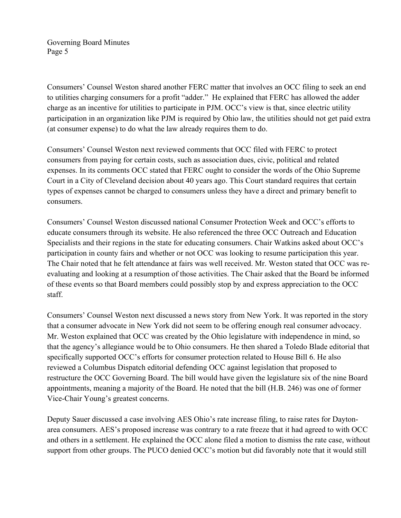Consumers' Counsel Weston shared another FERC matter that involves an OCC filing to seek an end to utilities charging consumers for a profit "adder." He explained that FERC has allowed the adder charge as an incentive for utilities to participate in PJM. OCC's view is that, since electric utility participation in an organization like PJM is required by Ohio law, the utilities should not get paid extra (at consumer expense) to do what the law already requires them to do.

Consumers' Counsel Weston next reviewed comments that OCC filed with FERC to protect consumers from paying for certain costs, such as association dues, civic, political and related expenses. In its comments OCC stated that FERC ought to consider the words of the Ohio Supreme Court in a City of Cleveland decision about 40 years ago. This Court standard requires that certain types of expenses cannot be charged to consumers unless they have a direct and primary benefit to consumers.

Consumers' Counsel Weston discussed national Consumer Protection Week and OCC's efforts to educate consumers through its website. He also referenced the three OCC Outreach and Education Specialists and their regions in the state for educating consumers. Chair Watkins asked about OCC's participation in county fairs and whether or not OCC was looking to resume participation this year. The Chair noted that he felt attendance at fairs was well received. Mr. Weston stated that OCC was reevaluating and looking at a resumption of those activities. The Chair asked that the Board be informed of these events so that Board members could possibly stop by and express appreciation to the OCC staff.

Consumers' Counsel Weston next discussed a news story from New York. It was reported in the story that a consumer advocate in New York did not seem to be offering enough real consumer advocacy. Mr. Weston explained that OCC was created by the Ohio legislature with independence in mind, so that the agency's allegiance would be to Ohio consumers. He then shared a Toledo Blade editorial that specifically supported OCC's efforts for consumer protection related to House Bill 6. He also reviewed a Columbus Dispatch editorial defending OCC against legislation that proposed to restructure the OCC Governing Board. The bill would have given the legislature six of the nine Board appointments, meaning a majority of the Board. He noted that the bill (H.B. 246) was one of former Vice-Chair Young's greatest concerns.

Deputy Sauer discussed a case involving AES Ohio's rate increase filing, to raise rates for Daytonarea consumers. AES's proposed increase was contrary to a rate freeze that it had agreed to with OCC and others in a settlement. He explained the OCC alone filed a motion to dismiss the rate case, without support from other groups. The PUCO denied OCC's motion but did favorably note that it would still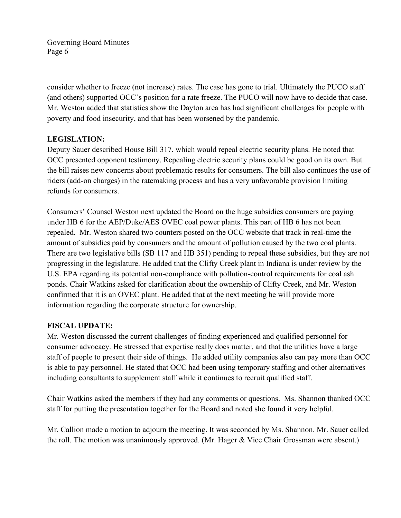consider whether to freeze (not increase) rates. The case has gone to trial. Ultimately the PUCO staff (and others) supported OCC's position for a rate freeze. The PUCO will now have to decide that case. Mr. Weston added that statistics show the Dayton area has had significant challenges for people with poverty and food insecurity, and that has been worsened by the pandemic.

#### **LEGISLATION:**

Deputy Sauer described House Bill 317, which would repeal electric security plans. He noted that OCC presented opponent testimony. Repealing electric security plans could be good on its own. But the bill raises new concerns about problematic results for consumers. The bill also continues the use of riders (add-on charges) in the ratemaking process and has a very unfavorable provision limiting refunds for consumers.

Consumers' Counsel Weston next updated the Board on the huge subsidies consumers are paying under HB 6 for the AEP/Duke/AES OVEC coal power plants. This part of HB 6 has not been repealed. Mr. Weston shared two counters posted on the OCC website that track in real-time the amount of subsidies paid by consumers and the amount of pollution caused by the two coal plants. There are two legislative bills (SB 117 and HB 351) pending to repeal these subsidies, but they are not progressing in the legislature. He added that the Clifty Creek plant in Indiana is under review by the U.S. EPA regarding its potential non-compliance with pollution-control requirements for coal ash ponds. Chair Watkins asked for clarification about the ownership of Clifty Creek, and Mr. Weston confirmed that it is an OVEC plant. He added that at the next meeting he will provide more information regarding the corporate structure for ownership.

#### **FISCAL UPDATE:**

Mr. Weston discussed the current challenges of finding experienced and qualified personnel for consumer advocacy. He stressed that expertise really does matter, and that the utilities have a large staff of people to present their side of things. He added utility companies also can pay more than OCC is able to pay personnel. He stated that OCC had been using temporary staffing and other alternatives including consultants to supplement staff while it continues to recruit qualified staff.

Chair Watkins asked the members if they had any comments or questions. Ms. Shannon thanked OCC staff for putting the presentation together for the Board and noted she found it very helpful.

Mr. Callion made a motion to adjourn the meeting. It was seconded by Ms. Shannon. Mr. Sauer called the roll. The motion was unanimously approved. (Mr. Hager & Vice Chair Grossman were absent.)